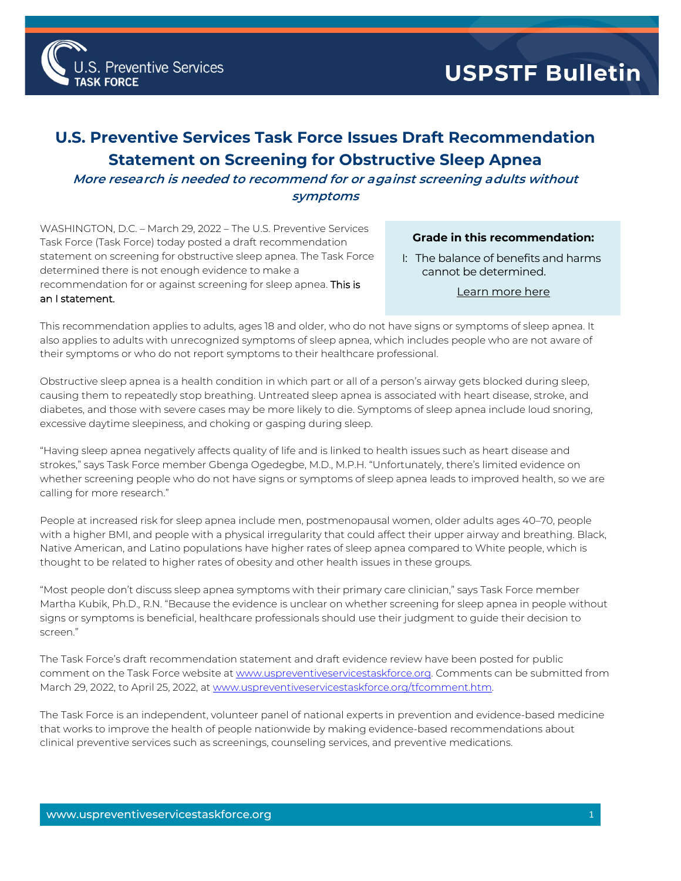

## **U.S. Preventive Services Task Force Issues Draft Recommendation Statement on Screening for Obstructive Sleep Apnea**

**More research is needed to recommend for or against screening adults without symptoms**

WASHINGTON, D.C. – March 29, 2022 – The U.S. Preventive Services Task Force (Task Force) today posted a draft recommendation statement on screening for obstructive sleep apnea. The Task Force determined there is not enough evidence to make a recommendation for or against screening for sleep apnea. **This is** an I statement.

## **Grade in this recommendation:**

I: The balance of benefits and harms cannot be determined.

[Learn more here](http://www.uspreventiveservicestaskforce.org/Page/Name/grade-definitions)

This recommendation applies to adults, ages 18 and older, who do not have signs or symptoms of sleep apnea. It also applies to adults with unrecognized symptoms of sleep apnea, which includes people who are not aware of their symptoms or who do not report symptoms to their healthcare professional.

Obstructive sleep apnea is a health condition in which part or all of a person's airway gets blocked during sleep, causing them to repeatedly stop breathing. Untreated sleep apnea is associated with heart disease, stroke, and diabetes, and those with severe cases may be more likely to die. Symptoms of sleep apnea include loud snoring, excessive daytime sleepiness, and choking or gasping during sleep.

"Having sleep apnea negatively affects quality of life and is linked to health issues such as heart disease and strokes," says Task Force member Gbenga Ogedegbe, M.D., M.P.H. "Unfortunately, there's limited evidence on whether screening people who do not have signs or symptoms of sleep apnea leads to improved health, so we are calling for more research."

People at increased risk for sleep apnea include men, postmenopausal women, older adults ages 40–70, people with a higher BMI, and people with a physical irregularity that could affect their upper airway and breathing. Black, Native American, and Latino populations have higher rates of sleep apnea compared to White people, which is thought to be related to higher rates of obesity and other health issues in these groups.

"Most people don't discuss sleep apnea symptoms with their primary care clinician," says Task Force member Martha Kubik, Ph.D., R.N. "Because the evidence is unclear on whether screening for sleep apnea in people without signs or symptoms is beneficial, healthcare professionals should use their judgment to guide their decision to screen."

The Task Force's draft recommendation statement and draft evidence review have been posted for public comment on the Task Force website a[t www.uspreventiveservicestaskforce.org.](http://www.uspreventiveservicestaskforce.org/) Comments can be submitted from March 29, 2022, to April 25, 2022, a[t www.uspreventiveservicestaskforce.org/tfcomment.htm.](http://www.uspreventiveservicestaskforce.org/tfcomment.htm) 

The Task Force is an independent, volunteer panel of national experts in prevention and evidence-based medicine that works to improve the health of people nationwide by making evidence-based recommendations about clinical preventive services such as screenings, counseling services, and preventive medications.